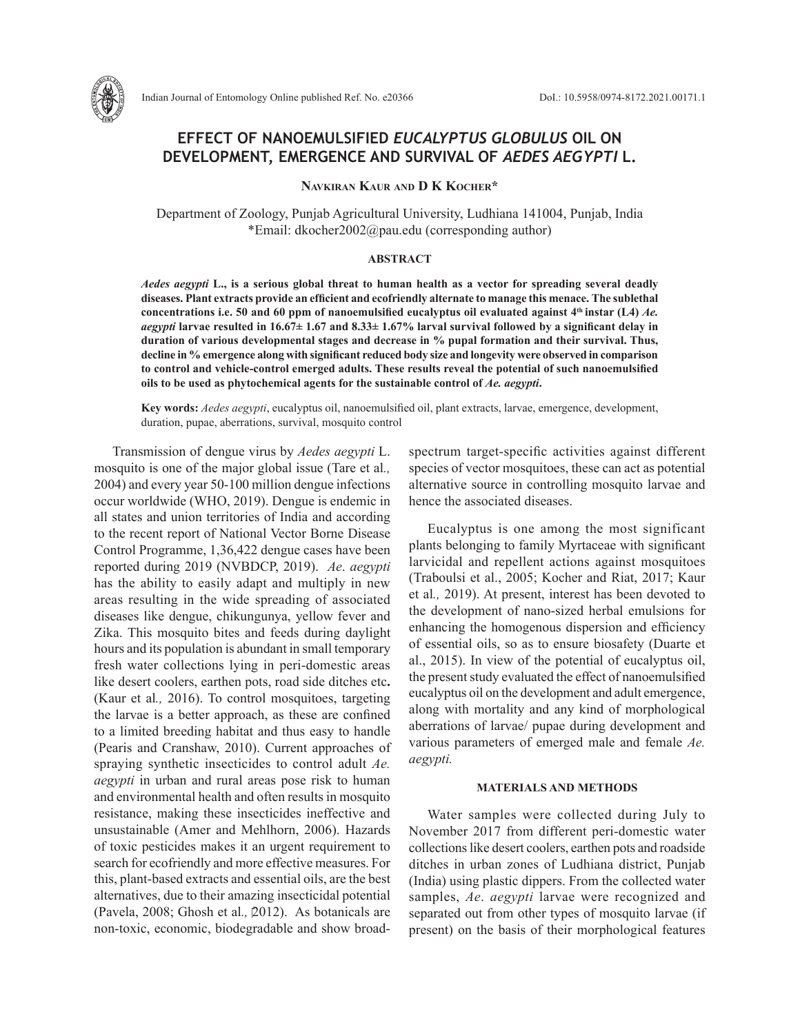

# **EFFECT OF NANOEMULSIFIED** *EUCALYPTUS GLOBULUS* **OIL ON DEVELOPMENT, EMERGENCE AND SURVIVAL OF** *AEDES AEGYPTI* **L.**

**Navkiran Kaur and D K Kocher\***

Department of Zoology, Punjab Agricultural University, Ludhiana 141004, Punjab, India \*Email: dkocher2002@pau.edu (corresponding author)

## **ABSTRACT**

*Aedes aegypti* **L., is a serious global threat to human health as a vector for spreading several deadly diseases. Plant extracts provide an efficient and ecofriendly alternate to manage this menace. The sublethal concentrations i.e. 50 and 60 ppm of nanoemulsified eucalyptus oil evaluated against 4th instar (L4)** *Ae. aegypti* **larvae resulted in 16.67± 1.67 and 8.33± 1.67% larval survival followed by a significant delay in duration of various developmental stages and decrease in % pupal formation and their survival. Thus, decline in % emergence along with significant reduced body size and longevity were observed in comparison to control and vehicle-control emerged adults. These results reveal the potential of such nanoemulsified**  bils to be used as phytochemical agents for the sustainable control of Ae. aegypti.

**Key words:** *Aedes aegypti*, eucalyptus oil, nanoemulsified oil, plant extracts, larvae, emergence, development, duration, pupae, aberrations, survival, mosquito control

Transmission of dengue virus by *Aedes aegypti* L. mosquito is one of the major global issue (Tare et al*.,* 2004) and every year 50-100 million dengue infections occur worldwide (WHO, 2019). Dengue is endemic in all states and union territories of India and according to the recent report of National Vector Borne Disease Control Programme, 1,36,422 dengue cases have been reported during 2019 (NVBDCP, 2019). *Ae*. *aegypti*  has the ability to easily adapt and multiply in new areas resulting in the wide spreading of associated diseases like dengue, chikungunya, yellow fever and Zika. This mosquito bites and feeds during daylight hours and its population is abundant in small temporary fresh water collections lying in peri-domestic areas like desert coolers, earthen pots, road side ditches etc**.** (Kaur et al*.,* 2016). To control mosquitoes, targeting the larvae is a better approach, as these are confined to a limited breeding habitat and thus easy to handle (Pearis and Cranshaw, 2010). Current approaches of spraying synthetic insecticides to control adult *Ae. aegypti* in urban and rural areas pose risk to human and environmental health and often results in mosquito resistance, making these insecticides ineffective and unsustainable (Amer and Mehlhorn, 2006). Hazards of toxic pesticides makes it an urgent requirement to search for ecofriendly and more effective measures. For this, plant-based extracts and essential oils, are the best alternatives, due to their amazing insecticidal potential (Pavela, 2008; Ghosh et al*.,* 2012). As botanicals are non-toxic, economic, biodegradable and show broadspectrum target-specific activities against different species of vector mosquitoes, these can act as potential alternative source in controlling mosquito larvae and hence the associated diseases.

Eucalyptus is one among the most significant plants belonging to family Myrtaceae with significant larvicidal and repellent actions against mosquitoes (Traboulsi et al., 2005; Kocher and Riat, 2017; Kaur et al*.,* 2019). At present, interest has been devoted to the development of nano-sized herbal emulsions for enhancing the homogenous dispersion and efficiency of essential oils, so as to ensure biosafety (Duarte et al., 2015). In view of the potential of eucalyptus oil, the present study evaluated the effect of nanoemulsified eucalyptus oil on the development and adult emergence, along with mortality and any kind of morphological aberrations of larvae/ pupae during development and various parameters of emerged male and female *Ae. aegypti.*

# **MATERIALS AND METHODS**

Water samples were collected during July to November 2017 from different peri-domestic water collections like desert coolers, earthen pots and roadside ditches in urban zones of Ludhiana district, Punjab (India) using plastic dippers. From the collected water samples, *Ae*. *aegypti* larvae were recognized and separated out from other types of mosquito larvae (if present) on the basis of their morphological features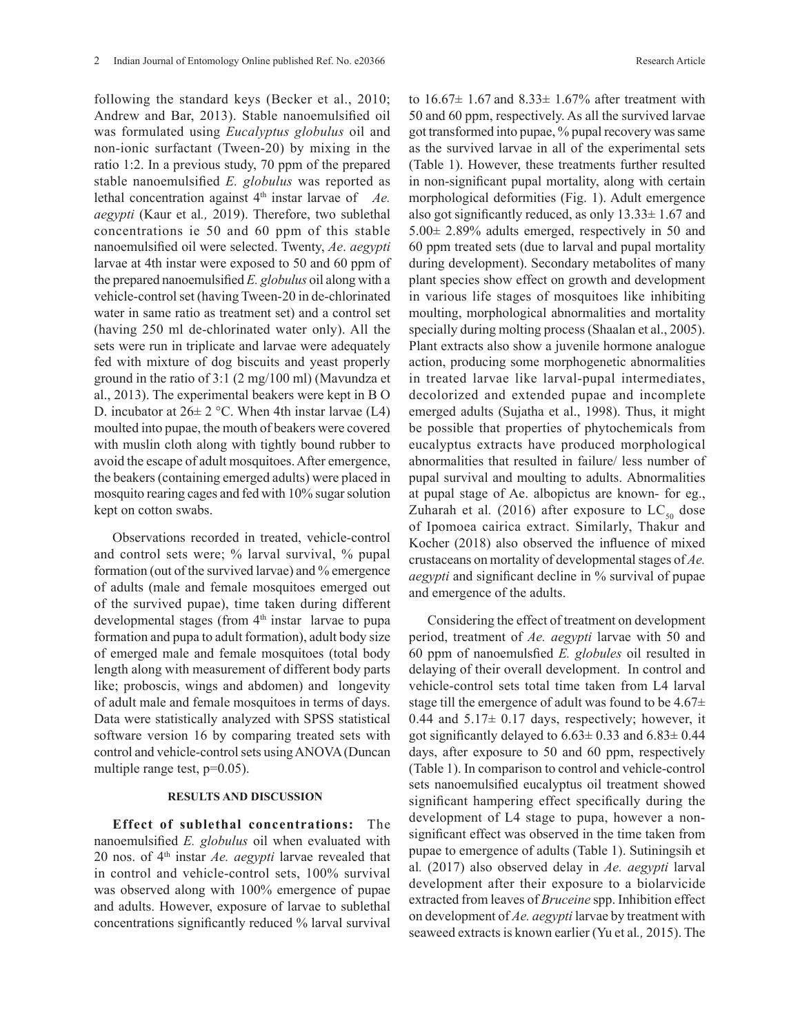following the standard keys (Becker et al., 2010; Andrew and Bar, 2013). Stable nanoemulsified oil was formulated using *Eucalyptus globulus* oil and non-ionic surfactant (Tween-20) by mixing in the ratio 1:2. In a previous study, 70 ppm of the prepared stable nanoemulsified *E. globulus* was reported as lethal concentration against 4<sup>th</sup> instar larvae of *Ae*. *aegypti* (Kaur et al*.,* 2019). Therefore, two sublethal concentrations ie 50 and 60 ppm of this stable nanoemulsified oil were selected. Twenty, *Ae*. *aegypti*  larvae at 4th instar were exposed to 50 and 60 ppm of the prepared nanoemulsified *E. globulus* oil along with a vehicle-control set (having Tween-20 in de-chlorinated water in same ratio as treatment set) and a control set (having 250 ml de-chlorinated water only). All the sets were run in triplicate and larvae were adequately fed with mixture of dog biscuits and yeast properly ground in the ratio of 3:1 (2 mg/100 ml) (Mavundza et al., 2013). The experimental beakers were kept in B O D. incubator at  $26 \pm 2$  °C. When 4th instar larvae (L4) moulted into pupae, the mouth of beakers were covered with muslin cloth along with tightly bound rubber to avoid the escape of adult mosquitoes. After emergence, the beakers (containing emerged adults) were placed in mosquito rearing cages and fed with 10% sugar solution kept on cotton swabs.

Observations recorded in treated, vehicle-control and control sets were; % larval survival, % pupal formation (out of the survived larvae) and % emergence of adults (male and female mosquitoes emerged out of the survived pupae), time taken during different developmental stages (from  $4<sup>th</sup>$  instar larvae to pupa formation and pupa to adult formation), adult body size of emerged male and female mosquitoes (total body length along with measurement of different body parts like; proboscis, wings and abdomen) and longevity of adult male and female mosquitoes in terms of days. Data were statistically analyzed with SPSS statistical software version 16 by comparing treated sets with control and vehicle-control sets using ANOVA (Duncan multiple range test, p=0.05).

# **RESULTS AND DISCUSSION**

**Effect of sublethal concentrations:** The nanoemulsified *E. globulus* oil when evaluated with 20 nos. of 4th instar *Ae. aegypti* larvae revealed that in control and vehicle-control sets, 100% survival was observed along with 100% emergence of pupae and adults. However, exposure of larvae to sublethal concentrations significantly reduced % larval survival to  $16.67 \pm 1.67$  and  $8.33 \pm 1.67$ % after treatment with 50 and 60 ppm, respectively. As all the survived larvae got transformed into pupae, % pupal recovery was same as the survived larvae in all of the experimental sets (Table 1). However, these treatments further resulted in non-significant pupal mortality, along with certain morphological deformities (Fig. 1). Adult emergence also got significantly reduced, as only  $13.33 \pm 1.67$  and 5.00± 2.89% adults emerged, respectively in 50 and 60 ppm treated sets (due to larval and pupal mortality during development). Secondary metabolites of many plant species show effect on growth and development in various life stages of mosquitoes like inhibiting moulting, morphological abnormalities and mortality specially during molting process (Shaalan et al., 2005). Plant extracts also show a juvenile hormone analogue action, producing some morphogenetic abnormalities in treated larvae like larval-pupal intermediates, decolorized and extended pupae and incomplete emerged adults (Sujatha et al., 1998). Thus, it might be possible that properties of phytochemicals from eucalyptus extracts have produced morphological abnormalities that resulted in failure/ less number of pupal survival and moulting to adults. Abnormalities at pupal stage of Ae. albopictus are known- for eg., Zuharah et al. (2016) after exposure to  $LC_{\rm so}$  dose of Ipomoea cairica extract. Similarly, Thakur and Kocher (2018) also observed the influence of mixed crustaceans on mortality of developmental stages of *Ae. aegypti* and significant decline in % survival of pupae and emergence of the adults.

Considering the effect of treatment on development period, treatment of *Ae. aegypti* larvae with 50 and 60 ppm of nanoemulsfied *E. globules* oil resulted in delaying of their overall development. In control and vehicle-control sets total time taken from L4 larval stage till the emergence of adult was found to be  $4.67\pm$ 0.44 and  $5.17\pm 0.17$  days, respectively; however, it got significantly delayed to  $6.63 \pm 0.33$  and  $6.83 \pm 0.44$ days, after exposure to 50 and 60 ppm, respectively (Table 1). In comparison to control and vehicle-control sets nanoemulsified eucalyptus oil treatment showed significant hampering effect specifically during the development of L4 stage to pupa, however a nonsignificant effect was observed in the time taken from pupae to emergence of adults (Table 1). Sutiningsih et al*.* (2017) also observed delay in *Ae. aegypti* larval development after their exposure to a biolarvicide extracted from leaves of *Bruceine* spp. Inhibition effect on development of *Ae. aegypti* larvae by treatment with seaweed extracts is known earlier (Yu et al*.,* 2015). The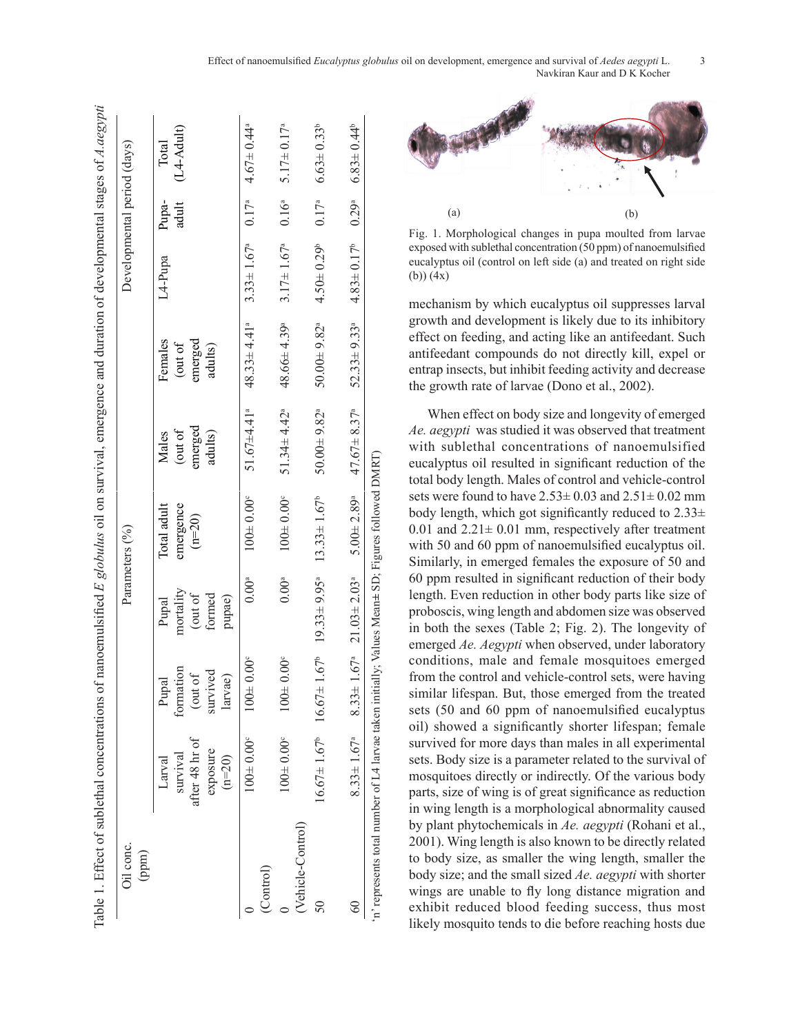| Oil conc.<br>(ppm) |                                                              |                                                                          |                                                   | Parameters (%)                       |                                        |                                         | Developmental period (days)               |                |                              |
|--------------------|--------------------------------------------------------------|--------------------------------------------------------------------------|---------------------------------------------------|--------------------------------------|----------------------------------------|-----------------------------------------|-------------------------------------------|----------------|------------------------------|
|                    | after 48 hr of<br>exposure<br>survival<br>$(n=20)$<br>Larval | formation<br>survived<br>(out of<br>larvae)<br>Pupal                     | mortality<br>(out of<br>formed<br>pupae)<br>Pupal | Total adult<br>emergence<br>$(n=20)$ | emerged<br>(out of<br>adults)<br>Males | emerged<br>Females<br>out of<br>adults) | L <sub>4-Pupa</sub>                       | Pupa-<br>adult | (L4-Adult)<br>Total          |
| (Control)          | $100 \pm 0.00$ <sup>c</sup>                                  | $100 \pm 0.00^{\circ}$                                                   | $0.00^{\circ}$                                    | $100 \pm 0.00^{\circ}$               | 51.67 $\pm$ 4.41 <sup>a</sup>          | $48.33 \pm 4.41$ <sup>2</sup>           | $3.33 \pm 1.67^a$ 0.17 <sup>a</sup>       |                | $4.67 \pm 0.44$ <sup>a</sup> |
| (Vehicle-Control)  | $100 \pm 0.00$ <sup>c</sup>                                  | 0.00 <sup>e</sup><br>1001                                                | $0.00^{\circ}$                                    | $100 \pm 0.00$ <sup>c</sup>          | $51.34 \pm 4.42$ <sup>a</sup>          | 48.66±4.39ª                             | $3.17 \pm 1.67^a$                         | $0.16^{a}$     | $5.17 \pm 0.17^a$            |
|                    | $16.67 \pm 1.67^{\circ}$ $16.67 \pm$                         |                                                                          | $1.67^{\circ}$ 19.33 ± 9.95 <sup>a</sup>          | $13.33 \pm 1.67^b$                   | $50.00 \pm 9.82$ <sup>a</sup>          | $50.00 + 9.82$ <sup>a</sup>             | $4.50 \pm 0.29^b$                         | $0.17^{a}$     | $6.63 \pm 0.33^b$            |
| 60                 |                                                              | $8.33 \pm 1.67^{\circ}$ $8.33 \pm 1.67^{\circ}$ $21.03 \pm 2.03^{\circ}$ |                                                   | $5.00 \pm 2.89$ <sup>a</sup>         | $47.67 \pm 8.37^a$                     | $52.33 \pm 9.33$ <sup>a</sup>           | $4.83 \pm 0.17^{\circ}$ 0.29 <sup>a</sup> |                | $6.83 \pm 0.44^b$            |



 Fig. 1: Morphological changes in pupa moulted from larvae exposed with sublethal concentration (50 ppm) Fig. 1: Morphological changes in pupa moulted from larvae exposed with sublethal concentration (50 ppm) Fig. 1. Morphological changes in pupa moulted from larvae  $\begin{bmatrix} 8 \\ 2 \\ 3 \end{bmatrix}$  eurolyptus oil (control on left side (a) and treated on right side exposed with sublethal concentration (50 ppm) of nanoemulsified (b)) (4x)

mechanism by which eucalyptus oil suppresses larval growth and development is likely due to its inhibitory effect on feeding, and acting like an antifeedant. Such antifeedant compounds do not directly kill, expel or entrap insects, but inhibit feeding activity and decrease the growth rate of larvae (Dono et al., 2002).

When effect on body size and longevity of emerged *Ae. aegypti* was studied it was observed that treatment with sublethal concentrations of nanoemulsified eucalyptus oil resulted in significant reduction of the total body length. Males of control and vehicle-control sets were found to have  $2.53\pm0.03$  and  $2.51\pm0.02$  mm body length, which got significantly reduced to  $2.33\pm$ 0.01 and  $2.21 \pm 0.01$  mm, respectively after treatment with 50 and 60 ppm of nanoemulsified eucalyptus oil. Similarly, in emerged females the exposure of 50 and 60 ppm resulted in significant reduction of their body length. Even reduction in other body parts like size of proboscis, wing length and abdomen size was observed in both the sexes (Table 2; Fig. 2). The longevity of emerged *Ae. Aegypti* when observed, under laboratory conditions, male and female mosquitoes emerged from the control and vehicle-control sets, were having similar lifespan. But, those emerged from the treated sets (50 and 60 ppm of nanoemulsified eucalyptus oil) showed a significantly shorter lifespan; female survived for more days than males in all experimental sets. Body size is a parameter related to the survival of mosquitoes directly or indirectly. Of the various body parts, size of wing is of great significance as reduction in wing length is a morphological abnormality caused by plant phytochemicals in *Ae. aegypti* (Rohani et al., 2001). Wing length is also known to be directly related to body size, as smaller the wing length, smaller the body size; and the small sized *Ae. aegypti* with shorter wings are unable to fly long distance migration and exhibit reduced blood feeding success, thus most likely mosquito tends to die before reaching hosts due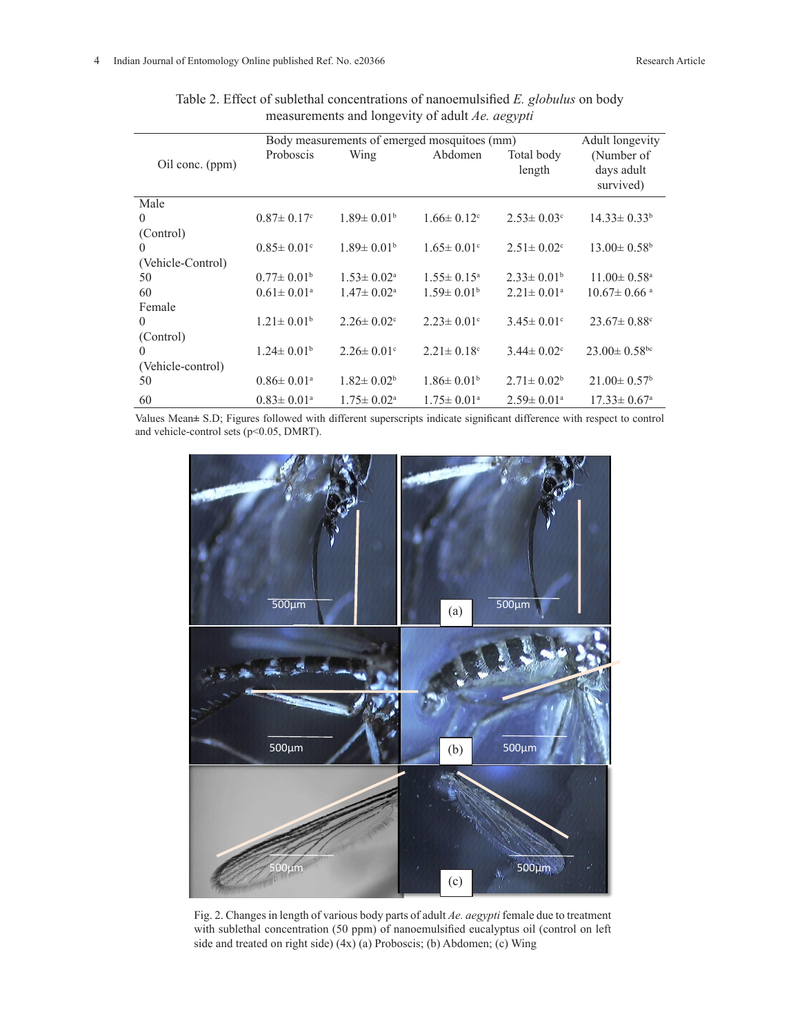|                   | Body measurements of emerged mosquitoes (mm) | Adult longevity              |                              |                              |                                       |
|-------------------|----------------------------------------------|------------------------------|------------------------------|------------------------------|---------------------------------------|
| Oil conc. (ppm)   | Proboscis                                    | Wing                         | Abdomen                      | Total body<br>length         | (Number of<br>days adult<br>survived) |
| Male              |                                              |                              |                              |                              |                                       |
| $\theta$          | $0.87 \pm 0.17$ °                            | $1.89 \pm 0.01^{\rm b}$      | $1.66 \pm 0.12$ <sup>c</sup> | $2.53 \pm 0.03$ °            | $14.33 \pm 0.33^b$                    |
| (Control)         |                                              |                              |                              |                              |                                       |
| $\theta$          | $0.85 \pm 0.01$ °                            | $1.89 \pm 0.01^{\rm b}$      | $1.65 \pm 0.01$ °            | $2.51 \pm 0.02$ <sup>c</sup> | $13.00 \pm 0.58$ <sup>b</sup>         |
| (Vehicle-Control) |                                              |                              |                              |                              |                                       |
| 50                | $0.77 \pm 0.01^b$                            | $1.53 \pm 0.02^{\text{a}}$   | $1.55 \pm 0.15^{\circ}$      | $2.33 \pm 0.01^b$            | $11.00 \pm 0.58$ <sup>a</sup>         |
| 60                | $0.61 \pm 0.01^{\text{a}}$                   | $1.47 \pm 0.02^{\text{a}}$   | $1.59 \pm 0.01^b$            | $2.21 \pm 0.01^a$            | $10.67 \pm 0.66$ <sup>a</sup>         |
| Female            |                                              |                              |                              |                              |                                       |
| $\theta$          | $1.21 \pm 0.01^b$                            | $2.26 \pm 0.02$ <sup>c</sup> | $2.23 \pm 0.01$ °            | $3.45 \pm 0.01$ <sup>c</sup> | $23.67 \pm 0.88$ <sup>c</sup>         |
| (Control)         |                                              |                              |                              |                              |                                       |
| $\theta$          | $1.24 \pm 0.01^b$                            | $2.26 \pm 0.01$ °            | $2.21 \pm 0.18$ °            | $3.44 \pm 0.02$ <sup>c</sup> | $23.00 \pm 0.58$ bc                   |
| (Vehicle-control) |                                              |                              |                              |                              |                                       |
| 50                | $0.86 \pm 0.01$ <sup>a</sup>                 | $1.82 \pm 0.02^b$            | $1.86 \pm 0.01^b$            | $2.71 \pm 0.02^b$            | $21.00 \pm 0.57$ <sup>b</sup>         |
| 60                | $0.83 \pm 0.01$ <sup>a</sup>                 | $1.75 \pm 0.02^{\text{a}}$   | $1.75 \pm 0.01^{\circ}$      | $2.59 \pm 0.01$ <sup>a</sup> | $17.33 \pm 0.67$ <sup>a</sup>         |

Table 2. Effect of sublethal concentrations of nanoemulsified *E. globulus* on body measurements and longevity of adult *Ae. aegypti*

Values Mean**±** S.D; Figures followed with different superscripts indicate significant difference with respect to control and vehicle-control sets (p<0.05, DMRT).



Fig. 2. Changes in length of various body parts of adult *Ae. aegypti* female due to treatment with sublethal concentration (50 ppm) of nanoemulsified eucalyptus oil (control on left side and treated on right side) (4x) (a) Proboscis; (b) Abdomen; (c) Wing